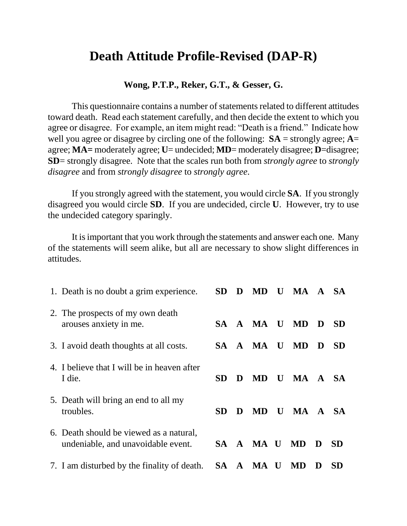## **Death Attitude Profile-Revised (DAP-R)**

## **Wong, P.T.P., Reker, G.T., & Gesser, G.**

This questionnaire contains a number of statements related to different attitudes toward death. Read each statement carefully, and then decide the extent to which you agree or disagree. For example, an item might read: "Death is a friend." Indicate how well you agree or disagree by circling one of the following: **SA** = strongly agree; **A**= agree; **MA=** moderately agree; **U**= undecided; **MD**= moderately disagree; **D**=disagree; **SD**= strongly disagree. Note that the scales run both from *strongly agree* to *strongly disagree* and from *strongly disagree* to *strongly agree*.

If you strongly agreed with the statement, you would circle **SA**. If you strongly disagreed you would circle **SD**. If you are undecided, circle **U**. However, try to use the undecided category sparingly.

It is important that you work through the statements and answer each one. Many of the statements will seem alike, but all are necessary to show slight differences in attitudes.

| 1. Death is no doubt a grim experience.                                       | SD        | D | MD           |             | U MA A SA    |    |           |
|-------------------------------------------------------------------------------|-----------|---|--------------|-------------|--------------|----|-----------|
| 2. The prospects of my own death<br>arouses anxiety in me.                    |           |   | SA A MA U MD |             |              | D. | - SD      |
| 3. I avoid death thoughts at all costs.                                       |           |   | SA A MA U    |             | <b>MD</b>    | D  | <b>SD</b> |
| 4. I believe that I will be in heaven after<br>I die.                         | <b>SD</b> | D |              |             | MD U MA A SA |    |           |
| 5. Death will bring an end to all my<br>troubles.                             | SD        | D | MD -         | $\mathbf U$ | MA A SA      |    |           |
| 6. Death should be viewed as a natural,<br>undeniable, and unavoidable event. |           |   | SA A MA U    |             | <b>MD</b>    | D  | <b>SD</b> |
| 7. I am disturbed by the finality of death.                                   |           |   | SA A MA U    |             | MD           | D  | <b>SD</b> |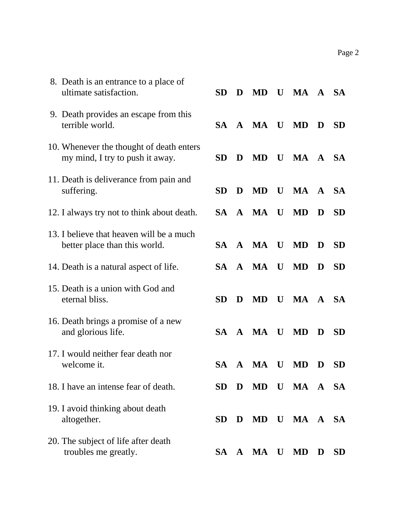| 8. Death is an entrance to a place of<br>ultimate satisfaction.             | <b>SD</b> | D         | <b>MD</b> |              | U MA A SA |              |           |
|-----------------------------------------------------------------------------|-----------|-----------|-----------|--------------|-----------|--------------|-----------|
| 9. Death provides an escape from this<br>terrible world.                    |           |           | SA A MA U |              | MD        | D            | <b>SD</b> |
| 10. Whenever the thought of death enters<br>my mind, I try to push it away. | <b>SD</b> | D         | <b>MD</b> | U            | MA A SA   |              |           |
| 11. Death is deliverance from pain and<br>suffering.                        | <b>SD</b> | D         | <b>MD</b> | $\bf{U}$     | MA        | $\mathbf{A}$ | <b>SA</b> |
| 12. I always try not to think about death.                                  |           |           | SA A MA U |              | <b>MD</b> | D            | <b>SD</b> |
| 13. I believe that heaven will be a much<br>better place than this world.   |           |           | SA A MA U |              | <b>MD</b> | D            | <b>SD</b> |
| 14. Death is a natural aspect of life.                                      | <b>SA</b> |           | A MA U    |              | <b>MD</b> | D            | <b>SD</b> |
| 15. Death is a union with God and<br>eternal bliss.                         | <b>SD</b> | D         | <b>MD</b> | $\mathbf{U}$ | MA A      |              | <b>SA</b> |
| 16. Death brings a promise of a new<br>and glorious life.                   |           |           | SA A MA U |              | <b>MD</b> | D            | <b>SD</b> |
| 17. I would neither fear death nor<br>welcome it.                           | SA.       | ${\bf A}$ | <b>MA</b> | U            | MD        | D            | <b>SD</b> |
| 18. I have an intense fear of death.                                        | <b>SD</b> | D         | <b>MD</b> | U            | MA A SA   |              |           |
| 19. I avoid thinking about death<br>altogether.                             | <b>SD</b> | D         | <b>MD</b> | $\mathbf U$  | MA A SA   |              |           |
| 20. The subject of life after death<br>troubles me greatly.                 | SA -      | ${\bf A}$ | MA        | $\bf{U}$     | <b>MD</b> | D            | <b>SD</b> |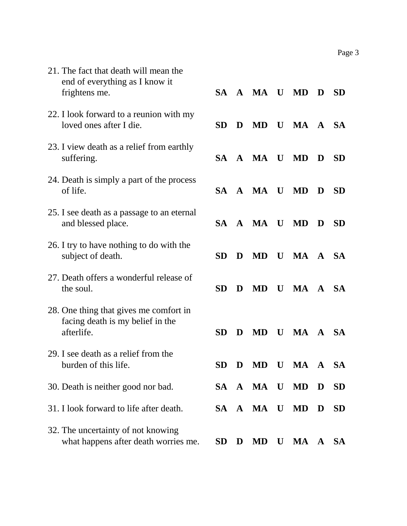| 21. The fact that death will mean the<br>end of everything as I know it<br>frightens me. | SA -      |   | A MA U       |              | <b>MD</b> | D | <b>SD</b> |
|------------------------------------------------------------------------------------------|-----------|---|--------------|--------------|-----------|---|-----------|
| 22. I look forward to a reunion with my<br>loved ones after I die.                       | <b>SD</b> | D | <b>MD</b>    | $\mathbf{U}$ | MA A SA   |   |           |
| 23. I view death as a relief from earthly<br>suffering.                                  |           |   | SA A MA U    |              | <b>MD</b> | D | <b>SD</b> |
| 24. Death is simply a part of the process<br>of life.                                    |           |   | SA A MA U MD |              |           | D | <b>SD</b> |
| 25. I see death as a passage to an eternal<br>and blessed place.                         |           |   | SA A MA U    |              | <b>MD</b> | D | <b>SD</b> |
| 26. I try to have nothing to do with the<br>subject of death.                            | <b>SD</b> | D | <b>MD</b>    | $\mathbf{U}$ | MA A SA   |   |           |
| 27. Death offers a wonderful release of<br>the soul.                                     | <b>SD</b> | D | <b>MD</b>    | $\mathbf{U}$ | MA A SA   |   |           |
| 28. One thing that gives me comfort in<br>facing death is my belief in the<br>afterlife. | <b>SD</b> | D | <b>MD</b>    | $\mathbf{U}$ | MA A SA   |   |           |
| 29. I see death as a relief from the<br>burden of this life.                             | SD D      |   | MD U         |              | MA A SA   |   |           |
| 30. Death is neither good nor bad.                                                       |           |   | SA A MA U    |              | <b>MD</b> | D | <b>SD</b> |
| 31. I look forward to life after death.                                                  |           |   | SA A MA U    |              | <b>MD</b> | D | <b>SD</b> |
| 32. The uncertainty of not knowing<br>what happens after death worries me.               | <b>SD</b> | D | <b>MD</b>    | U            | MA A      |   | <b>SA</b> |